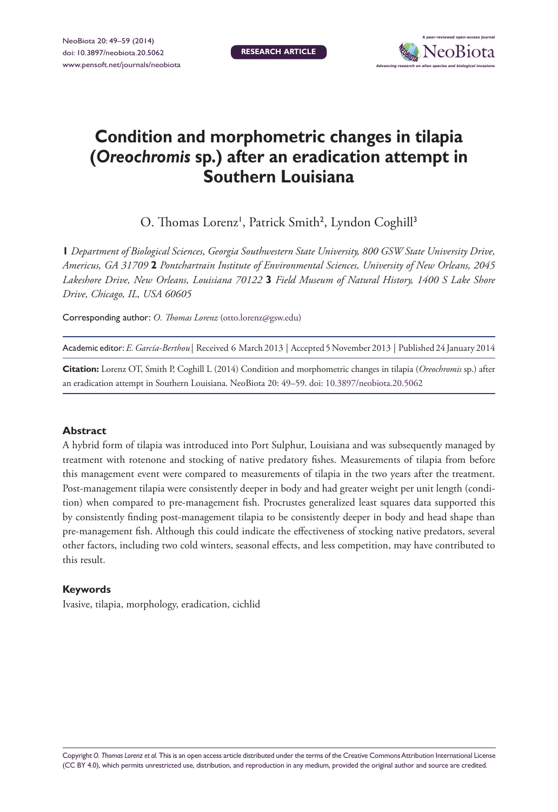**Research article**



# **Condition and morphometric changes in tilapia (***Oreochromis* **sp.) after an eradication attempt in Southern Louisiana**

O. Thomas Lorenz<sup>1</sup>, Patrick Smith<sup>2</sup>, Lyndon Coghill<sup>3</sup>

**1** *Department of Biological Sciences, Georgia Southwestern State University, 800 GSW State University Drive, Americus, GA 31709* **2** *Pontchartrain Institute of Environmental Sciences, University of New Orleans, 2045 Lakeshore Drive, New Orleans, Louisiana 70122* **3** *Field Museum of Natural History, 1400 S Lake Shore Drive, Chicago, IL, USA 60605*

Corresponding author: *O. Thomas Lorenz* [\(otto.lorenz@gsw.edu](mailto:otto.lorenz@gsw.edu))

Academic editor:*E. García-Berthou* | Received 6 March 2013 | Accepted 5 November 2013 | Published 24 January 2014

**Citation:** Lorenz OT, Smith P, Coghill L (2014) Condition and morphometric changes in tilapia (*Oreochromis* sp.) after an eradication attempt in Southern Louisiana. NeoBiota 20: 49–59. [doi: 10.3897/neobiota.20.5062](http://dx.doi.org/10.3897/neobiota.20.5062)

#### **Abstract**

A hybrid form of tilapia was introduced into Port Sulphur, Louisiana and was subsequently managed by treatment with rotenone and stocking of native predatory fishes. Measurements of tilapia from before this management event were compared to measurements of tilapia in the two years after the treatment. Post-management tilapia were consistently deeper in body and had greater weight per unit length (condition) when compared to pre-management fish. Procrustes generalized least squares data supported this by consistently finding post-management tilapia to be consistently deeper in body and head shape than pre-management fish. Although this could indicate the effectiveness of stocking native predators, several other factors, including two cold winters, seasonal effects, and less competition, may have contributed to this result.

#### **Keywords**

Ivasive, tilapia, morphology, eradication, cichlid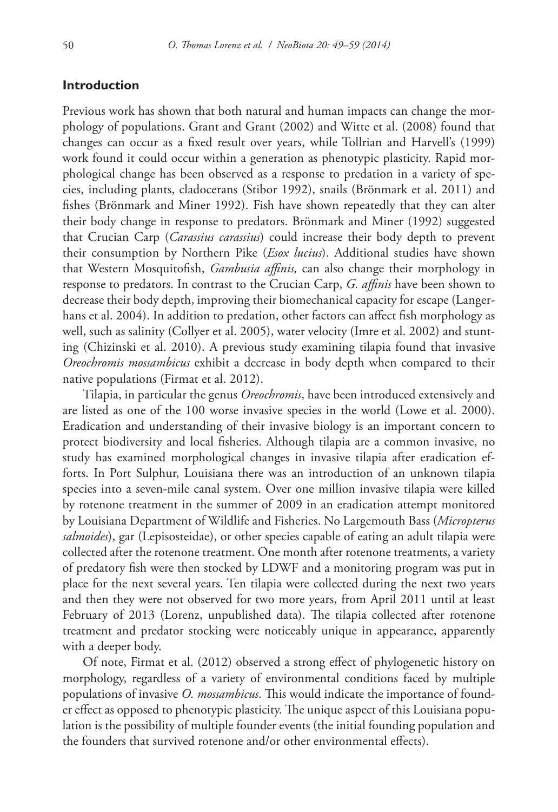### **Introduction**

Previous work has shown that both natural and human impacts can change the morphology of populations. Grant and Grant (2002) and Witte et al. (2008) found that changes can occur as a fixed result over years, while Tollrian and Harvell's (1999) work found it could occur within a generation as phenotypic plasticity. Rapid morphological change has been observed as a response to predation in a variety of species, including plants, cladocerans (Stibor 1992), snails (Brönmark et al. 2011) and fishes (Brönmark and Miner 1992). Fish have shown repeatedly that they can alter their body change in response to predators. Brönmark and Miner (1992) suggested that Crucian Carp (*Carassius carassius*) could increase their body depth to prevent their consumption by Northern Pike (*Esox lucius*). Additional studies have shown that Western Mosquitofish, *Gambusia affinis,* can also change their morphology in response to predators. In contrast to the Crucian Carp, *G. affinis* have been shown to decrease their body depth, improving their biomechanical capacity for escape (Langerhans et al. 2004). In addition to predation, other factors can affect fish morphology as well, such as salinity (Collyer et al. 2005), water velocity (Imre et al. 2002) and stunting (Chizinski et al. 2010). A previous study examining tilapia found that invasive *Oreochromis mossambicus* exhibit a decrease in body depth when compared to their native populations (Firmat et al. 2012).

Tilapia, in particular the genus *Oreochromis*, have been introduced extensively and are listed as one of the 100 worse invasive species in the world (Lowe et al. 2000). Eradication and understanding of their invasive biology is an important concern to protect biodiversity and local fisheries. Although tilapia are a common invasive, no study has examined morphological changes in invasive tilapia after eradication efforts. In Port Sulphur, Louisiana there was an introduction of an unknown tilapia species into a seven-mile canal system. Over one million invasive tilapia were killed by rotenone treatment in the summer of 2009 in an eradication attempt monitored by Louisiana Department of Wildlife and Fisheries. No Largemouth Bass (*Micropterus salmoides*), gar (Lepisosteidae), or other species capable of eating an adult tilapia were collected after the rotenone treatment. One month after rotenone treatments, a variety of predatory fish were then stocked by LDWF and a monitoring program was put in place for the next several years. Ten tilapia were collected during the next two years and then they were not observed for two more years, from April 2011 until at least February of 2013 (Lorenz, unpublished data). The tilapia collected after rotenone treatment and predator stocking were noticeably unique in appearance, apparently with a deeper body.

Of note, Firmat et al. (2012) observed a strong effect of phylogenetic history on morphology, regardless of a variety of environmental conditions faced by multiple populations of invasive *O. mossambicus*. This would indicate the importance of founder effect as opposed to phenotypic plasticity. The unique aspect of this Louisiana population is the possibility of multiple founder events (the initial founding population and the founders that survived rotenone and/or other environmental effects).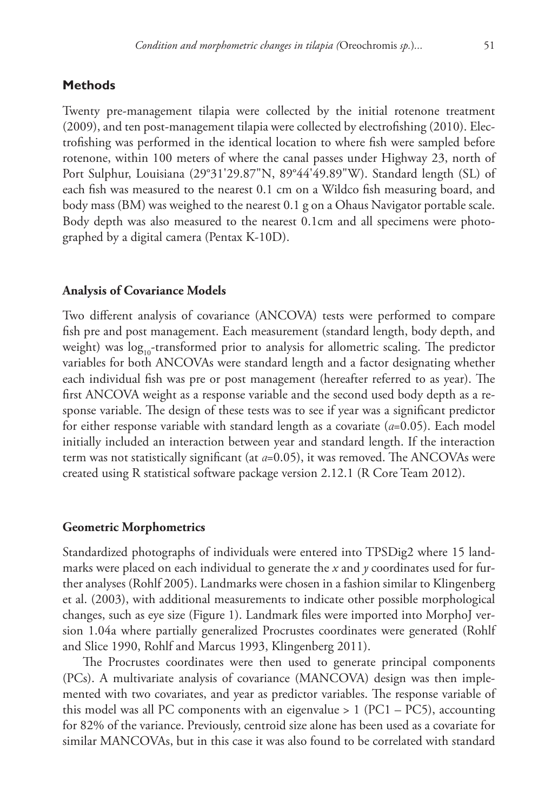## **Methods**

Twenty pre-management tilapia were collected by the initial rotenone treatment (2009), and ten post-management tilapia were collected by electrofishing (2010). Electrofishing was performed in the identical location to where fish were sampled before rotenone, within 100 meters of where the canal passes under Highway 23, north of Port Sulphur, Louisiana (29°31'29.87"N, 89°44'49.89"W). Standard length (SL) of each fish was measured to the nearest 0.1 cm on a Wildco fish measuring board, and body mass (BM) was weighed to the nearest 0.1 g on a Ohaus Navigator portable scale. Body depth was also measured to the nearest 0.1cm and all specimens were photographed by a digital camera (Pentax K-10D).

#### **Analysis of Covariance Models**

Two different analysis of covariance (ANCOVA) tests were performed to compare fish pre and post management. Each measurement (standard length, body depth, and weight) was  $log_{10}$ -transformed prior to analysis for allometric scaling. The predictor variables for both ANCOVAs were standard length and a factor designating whether each individual fish was pre or post management (hereafter referred to as year). The first ANCOVA weight as a response variable and the second used body depth as a response variable. The design of these tests was to see if year was a significant predictor for either response variable with standard length as a covariate (*α*=0.05). Each model initially included an interaction between year and standard length. If the interaction term was not statistically significant (at *α*=0.05), it was removed. The ANCOVAs were created using R statistical software package version 2.12.1 (R Core Team 2012).

#### **Geometric Morphometrics**

Standardized photographs of individuals were entered into TPSDig2 where 15 landmarks were placed on each individual to generate the *x* and *y* coordinates used for further analyses (Rohlf 2005). Landmarks were chosen in a fashion similar to Klingenberg et al. (2003), with additional measurements to indicate other possible morphological changes, such as eye size (Figure 1). Landmark files were imported into MorphoJ version 1.04a where partially generalized Procrustes coordinates were generated (Rohlf and Slice 1990, Rohlf and Marcus 1993, Klingenberg 2011).

The Procrustes coordinates were then used to generate principal components (PCs). A multivariate analysis of covariance (MANCOVA) design was then implemented with two covariates, and year as predictor variables. The response variable of this model was all PC components with an eigenvalue  $> 1$  (PC1 – PC5), accounting for 82% of the variance. Previously, centroid size alone has been used as a covariate for similar MANCOVAs, but in this case it was also found to be correlated with standard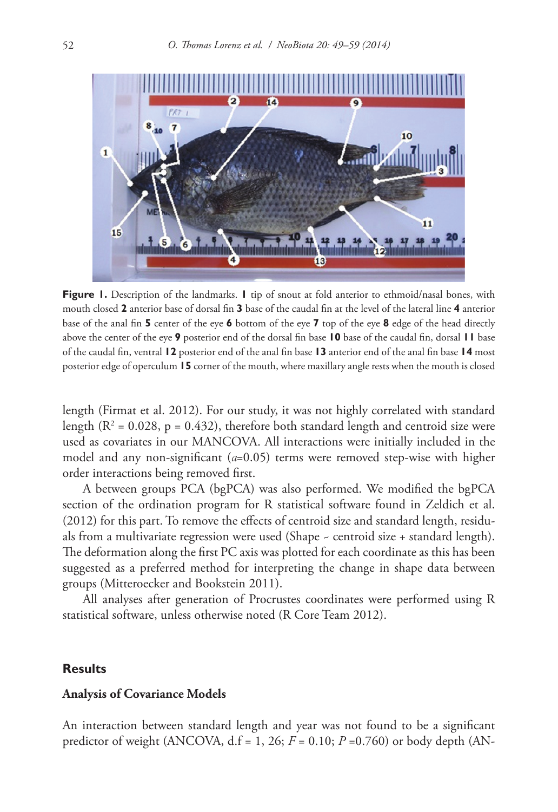

**Figure 1.** Description of the landmarks. **1** tip of snout at fold anterior to ethmoid/nasal bones, with mouth closed **2** anterior base of dorsal fin **3** base of the caudal fin at the level of the lateral line **4** anterior base of the anal fin **5** center of the eye **6** bottom of the eye **7** top of the eye **8** edge of the head directly above the center of the eye **9** posterior end of the dorsal fin base **10** base of the caudal fin, dorsal **11** base of the caudal fin, ventral **12** posterior end of the anal fin base **13** anterior end of the anal fin base **14** most posterior edge of operculum **15** corner of the mouth, where maxillary angle rests when the mouth is closed

length (Firmat et al. 2012). For our study, it was not highly correlated with standard length ( $R^2$  = 0.028, p = 0.432), therefore both standard length and centroid size were used as covariates in our MANCOVA. All interactions were initially included in the model and any non-significant (*α*=0.05) terms were removed step-wise with higher order interactions being removed first.

A between groups PCA (bgPCA) was also performed. We modified the bgPCA section of the ordination program for R statistical software found in Zeldich et al. (2012) for this part. To remove the effects of centroid size and standard length, residuals from a multivariate regression were used (Shape ~ centroid size + standard length). The deformation along the first PC axis was plotted for each coordinate as this has been suggested as a preferred method for interpreting the change in shape data between groups (Mitteroecker and Bookstein 2011).

All analyses after generation of Procrustes coordinates were performed using R statistical software, unless otherwise noted (R Core Team 2012).

#### **Results**

#### **Analysis of Covariance Models**

An interaction between standard length and year was not found to be a significant predictor of weight (ANCOVA, d.f = 1, 26; *F* = 0.10; *P* =0.760) or body depth (AN-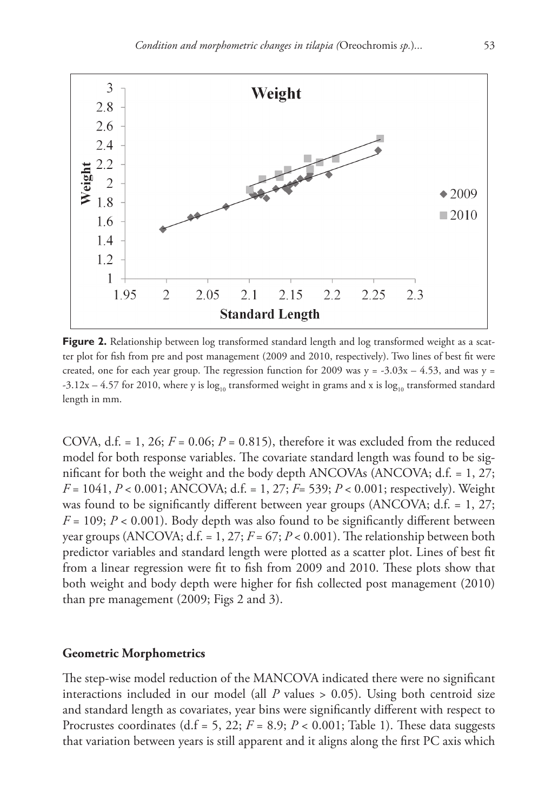

**Figure 2.** Relationship between log transformed standard length and log transformed weight as a scatter plot for fish from pre and post management (2009 and 2010, respectively). Two lines of best fit were created, one for each year group. The regression function for 2009 was  $y = -3.03x - 4.53$ , and was  $y =$ -3.12x – 4.57 for 2010, where y is  $\log_{10}$  transformed weight in grams and x is  $\log_{10}$  transformed standard length in mm.

COVA, d.f.  $= 1$ , 26;  $F = 0.06$ ;  $P = 0.815$ ), therefore it was excluded from the reduced model for both response variables. The covariate standard length was found to be significant for both the weight and the body depth ANCOVAs (ANCOVA; d.f. = 1, 27; *F* = 1041, *P* < 0.001; ANCOVA; d.f. = 1, 27; *F*= 539; *P* < 0.001; respectively). Weight was found to be significantly different between year groups (ANCOVA; d.f. = 1, 27;  $F = 109$ ;  $P < 0.001$ ). Body depth was also found to be significantly different between year groups (ANCOVA; d.f. = 1, 27;  $F = 67$ ;  $P < 0.001$ ). The relationship between both predictor variables and standard length were plotted as a scatter plot. Lines of best fit from a linear regression were fit to fish from 2009 and 2010. These plots show that both weight and body depth were higher for fish collected post management (2010) than pre management (2009; Figs 2 and 3).

#### **Geometric Morphometrics**

The step-wise model reduction of the MANCOVA indicated there were no significant interactions included in our model (all  *values*  $> 0.05$ *). Using both centroid size* and standard length as covariates, year bins were significantly different with respect to Procrustes coordinates (d.f = 5, 22;  $F = 8.9$ ;  $P < 0.001$ ; Table 1). These data suggests that variation between years is still apparent and it aligns along the first PC axis which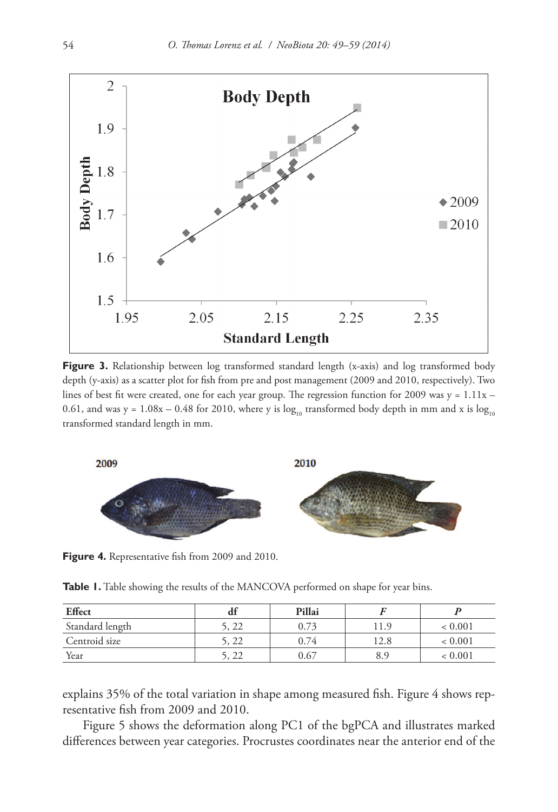

**Figure 3.** Relationship between log transformed standard length (x-axis) and log transformed body depth (y-axis) as a scatter plot for fish from pre and post management (2009 and 2010, respectively). Two lines of best fit were created, one for each year group. The regression function for 2009 was  $y = 1.11x -$ 0.61, and was y =  $1.08x - 0.48$  for 2010, where y is  $log_{10}$  transformed body depth in mm and x is  $log_{10}$ transformed standard length in mm.



**Figure 4.** Representative fish from 2009 and 2010.

Table 1. Table showing the results of the MANCOVA performed on shape for year bins.

| <b>Effect</b>   | αı    | Pillai |       |             |
|-----------------|-------|--------|-------|-------------|
| Standard length | 5, 22 | 0.73   | 11.9  | < 0.001     |
| Centroid size   | 5, 22 | 0.74   | l 2.8 | ${}< 0.001$ |
| Year            | 5, 22 | 0.67   |       | < 0.001     |

explains 35% of the total variation in shape among measured fish. Figure 4 shows representative fish from 2009 and 2010.

Figure 5 shows the deformation along PC1 of the bgPCA and illustrates marked differences between year categories. Procrustes coordinates near the anterior end of the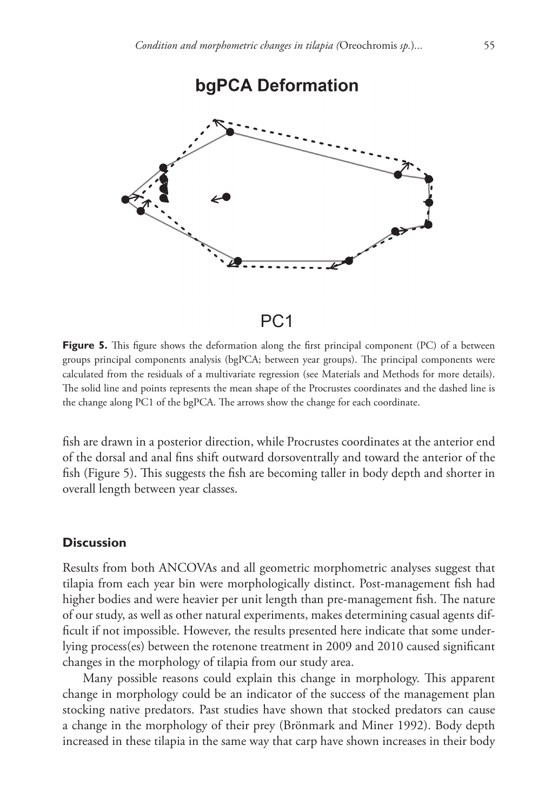

## $PC<sub>1</sub>$

**Figure 5.** This figure shows the deformation along the first principal component (PC) of a between groups principal components analysis (bgPCA; between year groups). The principal components were calculated from the residuals of a multivariate regression (see Materials and Methods for more details). The solid line and points represents the mean shape of the Procrustes coordinates and the dashed line is the change along PC1 of the bgPCA. The arrows show the change for each coordinate.

fish are drawn in a posterior direction, while Procrustes coordinates at the anterior end of the dorsal and anal fins shift outward dorsoventrally and toward the anterior of the fish (Figure 5). This suggests the fish are becoming taller in body depth and shorter in overall length between year classes.

## **Discussion**

Results from both ANCOVAs and all geometric morphometric analyses suggest that tilapia from each year bin were morphologically distinct. Post-management fish had higher bodies and were heavier per unit length than pre-management fish. The nature of our study, as well as other natural experiments, makes determining casual agents difficult if not impossible. However, the results presented here indicate that some underlying process(es) between the rotenone treatment in 2009 and 2010 caused significant changes in the morphology of tilapia from our study area.

Many possible reasons could explain this change in morphology. This apparent change in morphology could be an indicator of the success of the management plan stocking native predators. Past studies have shown that stocked predators can cause a change in the morphology of their prey (Brönmark and Miner 1992). Body depth increased in these tilapia in the same way that carp have shown increases in their body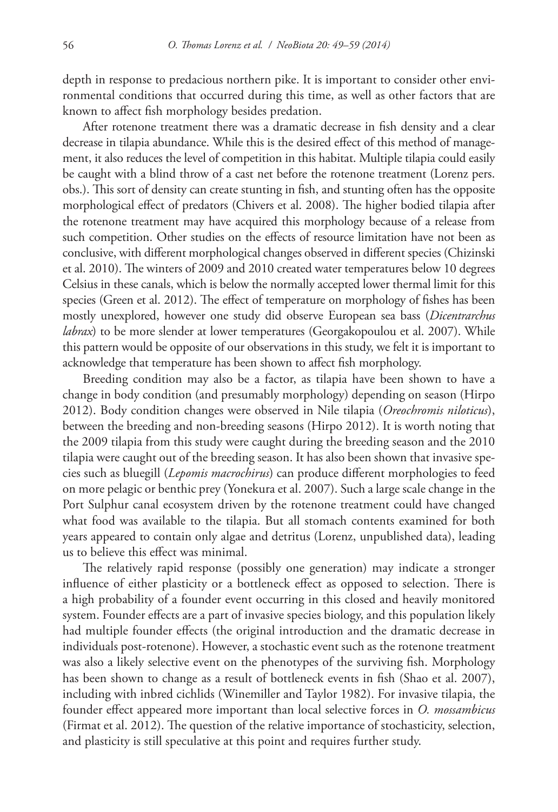depth in response to predacious northern pike. It is important to consider other environmental conditions that occurred during this time, as well as other factors that are known to affect fish morphology besides predation.

After rotenone treatment there was a dramatic decrease in fish density and a clear decrease in tilapia abundance. While this is the desired effect of this method of management, it also reduces the level of competition in this habitat. Multiple tilapia could easily be caught with a blind throw of a cast net before the rotenone treatment (Lorenz pers. obs.). This sort of density can create stunting in fish, and stunting often has the opposite morphological effect of predators (Chivers et al. 2008). The higher bodied tilapia after the rotenone treatment may have acquired this morphology because of a release from such competition. Other studies on the effects of resource limitation have not been as conclusive, with different morphological changes observed in different species (Chizinski et al. 2010). The winters of 2009 and 2010 created water temperatures below 10 degrees Celsius in these canals, which is below the normally accepted lower thermal limit for this species (Green et al. 2012). The effect of temperature on morphology of fishes has been mostly unexplored, however one study did observe European sea bass (*Dicentrarchus labrax*) to be more slender at lower temperatures (Georgakopoulou et al. 2007). While this pattern would be opposite of our observations in this study, we felt it is important to acknowledge that temperature has been shown to affect fish morphology.

Breeding condition may also be a factor, as tilapia have been shown to have a change in body condition (and presumably morphology) depending on season (Hirpo 2012). Body condition changes were observed in Nile tilapia (*Oreochromis niloticus*), between the breeding and non-breeding seasons (Hirpo 2012). It is worth noting that the 2009 tilapia from this study were caught during the breeding season and the 2010 tilapia were caught out of the breeding season. It has also been shown that invasive species such as bluegill (*Lepomis macrochirus*) can produce different morphologies to feed on more pelagic or benthic prey (Yonekura et al. 2007). Such a large scale change in the Port Sulphur canal ecosystem driven by the rotenone treatment could have changed what food was available to the tilapia. But all stomach contents examined for both years appeared to contain only algae and detritus (Lorenz, unpublished data), leading us to believe this effect was minimal.

The relatively rapid response (possibly one generation) may indicate a stronger influence of either plasticity or a bottleneck effect as opposed to selection. There is a high probability of a founder event occurring in this closed and heavily monitored system. Founder effects are a part of invasive species biology, and this population likely had multiple founder effects (the original introduction and the dramatic decrease in individuals post-rotenone). However, a stochastic event such as the rotenone treatment was also a likely selective event on the phenotypes of the surviving fish. Morphology has been shown to change as a result of bottleneck events in fish (Shao et al. 2007), including with inbred cichlids (Winemiller and Taylor 1982). For invasive tilapia, the founder effect appeared more important than local selective forces in *O. mossambicus* (Firmat et al. 2012). The question of the relative importance of stochasticity, selection, and plasticity is still speculative at this point and requires further study.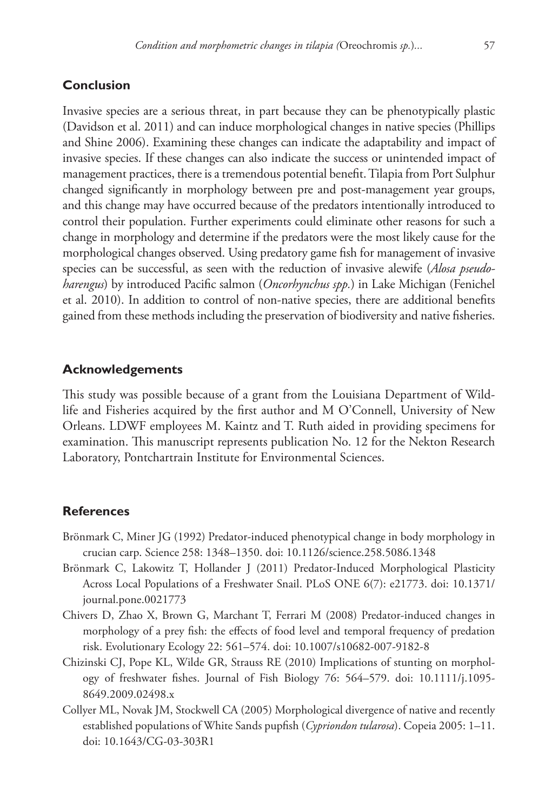## **Conclusion**

Invasive species are a serious threat, in part because they can be phenotypically plastic (Davidson et al. 2011) and can induce morphological changes in native species (Phillips and Shine 2006). Examining these changes can indicate the adaptability and impact of invasive species. If these changes can also indicate the success or unintended impact of management practices, there is a tremendous potential benefit. Tilapia from Port Sulphur changed significantly in morphology between pre and post-management year groups, and this change may have occurred because of the predators intentionally introduced to control their population. Further experiments could eliminate other reasons for such a change in morphology and determine if the predators were the most likely cause for the morphological changes observed. Using predatory game fish for management of invasive species can be successful, as seen with the reduction of invasive alewife (*Alosa pseudoharengus*) by introduced Pacific salmon (*Oncorhynchus spp.*) in Lake Michigan (Fenichel et al. 2010). In addition to control of non-native species, there are additional benefits gained from these methods including the preservation of biodiversity and native fisheries.

## **Acknowledgements**

This study was possible because of a grant from the Louisiana Department of Wildlife and Fisheries acquired by the first author and M O'Connell, University of New Orleans. LDWF employees M. Kaintz and T. Ruth aided in providing specimens for examination. This manuscript represents publication No. 12 for the Nekton Research Laboratory, Pontchartrain Institute for Environmental Sciences.

## **References**

- Brönmark C, Miner JG (1992) Predator-induced phenotypical change in body morphology in crucian carp. Science 258: 1348–1350. [doi: 10.1126/science.258.5086.1348](http://dx.doi.org/10.1126/science.258.5086.1348)
- Brönmark C, Lakowitz T, Hollander J (2011) Predator-Induced Morphological Plasticity Across Local Populations of a Freshwater Snail. PLoS ONE 6(7): e21773. [doi: 10.1371/](http://dx.doi.org/10.1371/journal.pone.0021773) [journal.pone.0021773](http://dx.doi.org/10.1371/journal.pone.0021773)
- Chivers D, Zhao X, Brown G, Marchant T, Ferrari M (2008) Predator-induced changes in morphology of a prey fish: the effects of food level and temporal frequency of predation risk. Evolutionary Ecology 22: 561–574. [doi: 10.1007/s10682-007-9182-8](http://dx.doi.org/10.1007/s10682-007-9182-8)
- Chizinski CJ, Pope KL, Wilde GR, Strauss RE (2010) Implications of stunting on morphology of freshwater fishes. Journal of Fish Biology 76: 564–579. [doi: 10.1111/j.1095-](http://dx.doi.org/10.1111/j.1095-8649.2009.02498.x) [8649.2009.02498.x](http://dx.doi.org/10.1111/j.1095-8649.2009.02498.x)
- Collyer ML, Novak JM, Stockwell CA (2005) Morphological divergence of native and recently established populations of White Sands pupfish (*Cypriondon tularosa*). Copeia 2005: 1–11. [doi: 10.1643/CG-03-303R1](http://dx.doi.org/10.1643/CG-03-303R1)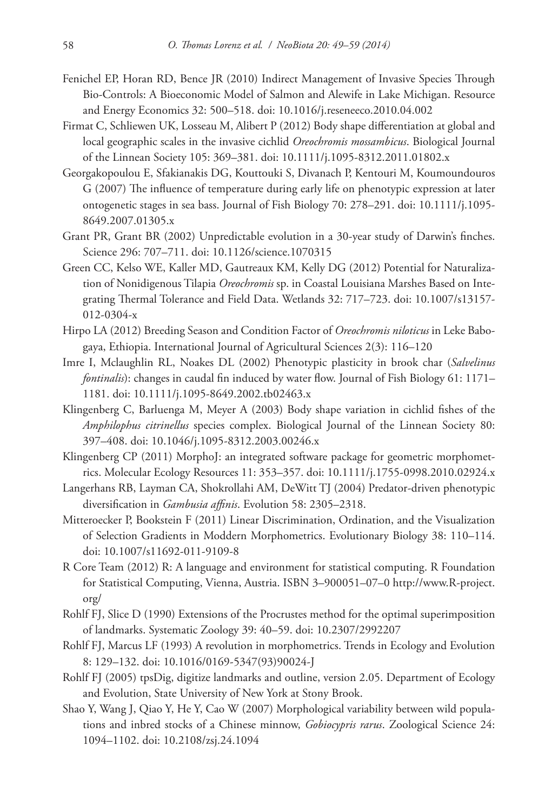- Fenichel EP, Horan RD, Bence JR (2010) Indirect Management of Invasive Species Through Bio-Controls: A Bioeconomic Model of Salmon and Alewife in Lake Michigan. Resource and Energy Economics 32: 500–518. [doi: 10.1016/j.reseneeco.2010.04.002](http://dx.doi.org/10.1016/j.reseneeco.2010.04.002)
- Firmat C, Schliewen UK, Losseau M, Alibert P (2012) Body shape differentiation at global and local geographic scales in the invasive cichlid *Oreochromis mossambicus*. Biological Journal of the Linnean Society 105: 369–381. [doi: 10.1111/j.1095-8312.2011.01802.x](http://dx.doi.org/10.1111/j.1095-8312.2011.01802.x)
- Georgakopoulou E, Sfakianakis DG, Kouttouki S, Divanach P, Kentouri M, Koumoundouros G (2007) The influence of temperature during early life on phenotypic expression at later ontogenetic stages in sea bass. Journal of Fish Biology 70: 278–291. [doi: 10.1111/j.1095-](http://dx.doi.org/10.1111/j.1095-8649.2007.01305.x) [8649.2007.01305.x](http://dx.doi.org/10.1111/j.1095-8649.2007.01305.x)
- Grant PR, Grant BR (2002) Unpredictable evolution in a 30-year study of Darwin's finches. Science 296: 707–711. [doi: 10.1126/science.1070315](http://dx.doi.org/10.1126/science.1070315)
- Green CC, Kelso WE, Kaller MD, Gautreaux KM, Kelly DG (2012) Potential for Naturalization of Nonidigenous Tilapia *Oreochromis* sp. in Coastal Louisiana Marshes Based on Integrating Thermal Tolerance and Field Data. Wetlands 32: 717–723. [doi: 10.1007/s13157-](http://dx.doi.org/10.1007/s13157-012-0304-x) [012-0304-x](http://dx.doi.org/10.1007/s13157-012-0304-x)
- Hirpo LA (2012) Breeding Season and Condition Factor of *Oreochromis niloticus* in Leke Babogaya, Ethiopia. International Journal of Agricultural Sciences 2(3): 116–120
- Imre I, Mclaughlin RL, Noakes DL (2002) Phenotypic plasticity in brook char (*Salvelinus fontinalis*): changes in caudal fin induced by water flow. Journal of Fish Biology 61: 1171– 1181. [doi: 10.1111/j.1095-8649.2002.tb02463.x](http://dx.doi.org/10.1111/j.1095-8649.2002.tb02463.x)
- Klingenberg C, Barluenga M, Meyer A (2003) Body shape variation in cichlid fishes of the *Amphilophus citrinellus* species complex. Biological Journal of the Linnean Society 80: 397–408. [doi: 10.1046/j.1095-8312.2003.00246.x](http://dx.doi.org/10.1046/j.1095-8312.2003.00246.x)
- Klingenberg CP (2011) MorphoJ: an integrated software package for geometric morphometrics. Molecular Ecology Resources 11: 353–357. [doi: 10.1111/j.1755-0998.2010.02924.x](http://dx.doi.org/10.1111/j.1755-0998.2010.02924.x)
- Langerhans RB, Layman CA, Shokrollahi AM, DeWitt TJ (2004) Predator-driven phenotypic diversification in *Gambusia affinis*. Evolution 58: 2305–2318.
- Mitteroecker P, Bookstein F (2011) Linear Discrimination, Ordination, and the Visualization of Selection Gradients in Moddern Morphometrics. Evolutionary Biology 38: 110–114. [doi: 10.1007/s11692-011-9109-8](http://dx.doi.org/10.1007/s11692-011-9109-8)
- R Core Team (2012) R: A language and environment for statistical computing. R Foundation for Statistical Computing, Vienna, Austria. ISBN 3–900051–07–0 [http://www.R-project.](http://www.R-project.org) [org](http://www.R-project.org)/
- Rohlf FJ, Slice D (1990) Extensions of the Procrustes method for the optimal superimposition of landmarks. Systematic Zoology 39: 40–59. [doi: 10.2307/2992207](http://dx.doi.org/10.2307/2992207)
- Rohlf FJ, Marcus LF (1993) A revolution in morphometrics. Trends in Ecology and Evolution 8: 129–132. [doi: 10.1016/0169-5347\(93\)90024-J](http://dx.doi.org/10.1016/0169-5347(93)90024-J)
- Rohlf FJ (2005) tpsDig, digitize landmarks and outline, version 2.05. Department of Ecology and Evolution, State University of New York at Stony Brook.
- Shao Y, Wang J, Qiao Y, He Y, Cao W (2007) Morphological variability between wild populations and inbred stocks of a Chinese minnow, *Gobiocypris rarus*. Zoological Science 24: 1094–1102. [doi: 10.2108/zsj.24.1094](http://dx.doi.org/10.2108/zsj.24.1094)